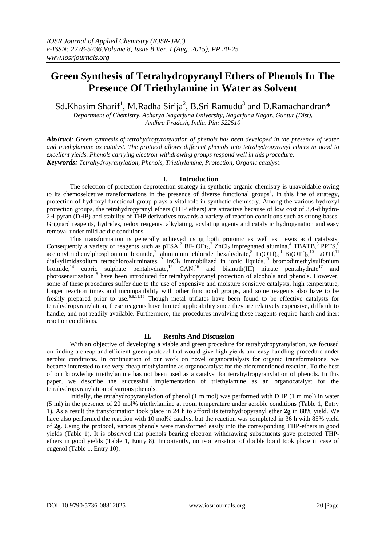# **Green Synthesis of Tetrahydropyranyl Ethers of Phenols In The Presence Of Triethylamine in Water as Solvent**

Sd.Khasim Sharif<sup>1</sup>, M.Radha Sirija<sup>2</sup>, B.Sri Ramudu<sup>3</sup> and D.Ramachandran\*

*Department of Chemistry, Acharya Nagarjuna University, Nagarjuna Nagar, Guntur (Dist), Andhra Pradesh, India. Pin: 522510*

*Abstract: Green synthesis of tetrahydropyranylation of phenols has been developed in the presence of water and triethylamine as catalyst. The protocol allows different phenols into tetrahydropyranyl ethers in good to excellent yields. Phenols carrying electron-withdrawing groups respond well in this procedure. Keywords: Tetrahydroyranylation, Phenols, Triethylamine, Protection, Organic catalyst*.

# **I. Introduction**

The selection of protection deprotection strategy in synthetic organic chemistry is unavoidable owing to its chemoselcetive transformations in the presence of diverse functional groups<sup>1</sup>. In this line of strategy, protection of hydroxyl functional group plays a vital role in synthetic chemistry. Among the various hydroxyl protection groups, the tetrahydropyranyl ethers (THP ethers) are attractive because of low cost of 3,4-dihydro-2H-pyran (DHP) and stability of THP derivatives towards a variety of reaction conditions such as strong bases, Grignard reagents, hydrides, redox reagents, alkylating, acylating agents and catalytic hydrogenation and easy removal under mild acidic conditions.

This transformation is generally achieved using both protonic as well as Lewis acid catalysts. Consequently a variety of reagents such as  $pTSA<sup>2</sup> BF<sub>3</sub>.OEt<sub>2</sub><sup>3</sup> ZnCl<sub>2</sub> impregnated aluminum<sup>4</sup>, TBATB<sup>5</sup>,  $pPTS<sup>6</sup>$$ acetonyltriphenylphosphonium bromide,<sup>7</sup> aluminium chloride hexahydrate,<sup>8</sup> In(OTf)<sub>3,</sub><sup>9</sup> Bi(OTf)<sub>3</sub>,<sup>10</sup> LiOTf,<sup>11</sup> dialkylimidazolium tetrachloroaluminates,<sup>12</sup> InCl<sub>3</sub> immobilized in ionic liquids,<sup>13</sup> bromodimethylsulfonium bromide,<sup>14</sup> cupric sulphate pentahydrate,<sup>15</sup> CAN,<sup>16</sup> and bismuth(III) nitrate pentahydrate<sup>17</sup> and photosensitization<sup>18</sup> have been introduced for tetrahydropyranyl protection of alcohols and phenols. However, some of these procedures suffer due to the use of expensive and moisture sensitive catalysts, high temperature, longer reaction times and incompatibility with other functional groups, and some reagents also have to be freshly prepared prior to use.6,8,11,15 Though metal triflates have been found to be effective catalysts for tetrahydropyranylation, these reagents have limited applicability since they are relatively expensive, difficult to handle, and not readily available. Furthermore, the procedures involving these reagents require harsh and inert reaction conditions.

# **II. Results And Discussion**

With an objective of developing a viable and green procedure for tetrahydropyranylation, we focused on finding a cheap and efficient green protocol that would give high yields and easy handling procedure under aerobic conditions. In continuation of our work on novel organocatalysts for organic transformations, we became interested to use very cheap triethylamine as organocatalyst for the aforementioned reaction. To the best of our knowledge triethylamine has not been used as a catalyst for tetrahydropyranylation of phenols. In this paper, we describe the successful implementation of triethylamine as an organocatalyst for the tetrahydropyranylation of various phenols.

Initially, the tetrahydropyranylation of phenol (1 m mol) was performed with DHP (1 m mol) in water (5 ml) in the presence of 20 mol% triethylamine at room temperature under aerobic conditions (Table 1, Entry 1). As a result the transformation took place in 24 h to afford its tetrahydropyranyl ether **2g** in 88% yield. We have also performed the reaction with 10 mol% catalyst but the reaction was completed in 36 h with 85% yield of **2g**. Using the protocol, various phenols were transformed easily into the corresponding THP-ethers in good yields (Table 1). It is observed that phenols bearing electron withdrawing substituents gave protected THPethers in good yields (Table 1, Entry 8). Importantly, no isomerisation of double bond took place in case of eugenol (Table 1, Entry 10).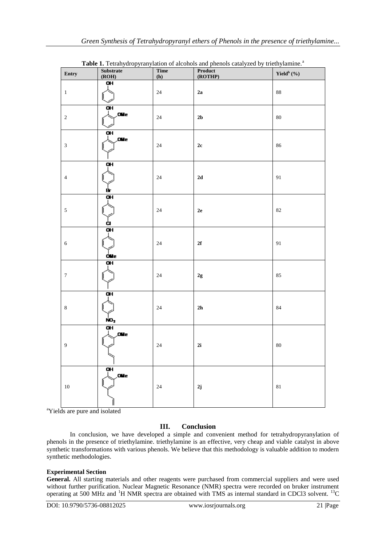| Entry            | ${\bf Substrate}$<br>(ROH) | Time<br>(h) | Product<br>(ROTHP)       | Yield <sup>b</sup> $(\% )$ |
|------------------|----------------------------|-------------|--------------------------|----------------------------|
| $\,1$            | ÖН                         | $24\,$      | ${\bf 2a}$               | $88\,$                     |
| $\sqrt{2}$       | QН<br>OWe                  | $24\,$      | $2\mathbf{b}$            | $80\,$                     |
| $\sqrt{3}$       | 웈<br>,CWe                  | $24\,$      | $2\mathbf{c}$            | $86\,$                     |
| $\overline{4}$   | ÖH<br>Ėr                   | 24          | $2\mathbf{d}$            | $\ensuremath{91}$          |
| $\mathfrak s$    | ÖН<br>a                    | $24\,$      | $2\mathrm{e}$            | $82\,$                     |
| $\sqrt{6}$       | QН<br>ÓШ е                 | $24\,$      | $2\mathbf{f}$            | $\ensuremath{91}$          |
| $\boldsymbol{7}$ | QН                         | $24\,$      | $2\mathbf{g}$            | $85\,$                     |
| $\,8\,$          | œ<br>NO <sub>2</sub>       | $24\,$      | $2\ensuremath{\text{h}}$ | $84\,$                     |
| $\boldsymbol{9}$ | ÖН<br>,0Me                 | $24\,$      | 2i                       | $80\,$                     |
| $10\,$           | 웈<br>OWe                   | 24          | 2j                       | $81\,$                     |

**Table 1.** Tetrahydropyranylation of alcohols and phenols catalyzed by triethylamine.<sup>a</sup>

<sup>a</sup>Yields are pure and isolated

# **III. Conclusion**

In conclusion, we have developed a simple and convenient method for tetrahydropyranylation of phenols in the presence of triethylamine. triethylamine is an effective, very cheap and viable catalyst in above synthetic transformations with various phenols. We believe that this methodology is valuable addition to modern synthetic methodologies.

# **Experimental Section**

General. All starting materials and other reagents were purchased from commercial suppliers and were used without further purification. Nuclear Magnetic Resonance (NMR) spectra were recorded on bruker instrument operating at 500 MHz and <sup>1</sup>H NMR spectra are obtained with TMS as internal standard in CDCl3 solvent. <sup>13</sup>C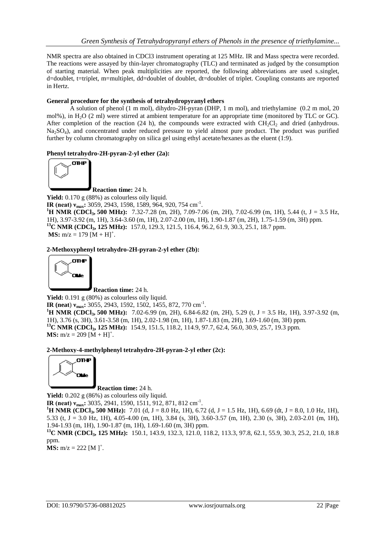NMR spectra are also obtained in CDCl3 instrument operating at 125 MHz. IR and Mass spectra were recorded. The reactions were assayed by thin-layer chromatography (TLC) and terminated as judged by the consumption of starting material. When peak multiplicities are reported, the following abbreviations are used s-singlet, d=doublet, t=triplet, m=multiplet, dd=doublet of doublet, dt=doublet of triplet. Coupling constants are reported in Hertz.

## **General procedure for the synthesis of tetrahydropyranyl ethers**

A solution of phenol (1 m mol), dihydro-2H-pyran (DHP, 1 m mol), and triethylamine (0.2 m mol, 20 mol%), in H2O (2 ml) were stirred at ambient temperature for an appropriate time (monitored by TLC or GC). After completion of the reaction (24 h), the compounds were extracted with  $CH_2Cl_2$  and dried (anhydrous. Na<sub>2</sub>SO<sub>4</sub>), and concentrated under reduced pressure to yield almost pure product. The product was purified further by column chromatography on silica gel using ethyl acetate/hexanes as the eluent (1:9).

## **Phenyl tetrahydro-2H-pyran-2-yl ether (2a):**



**Reaction time:** 24 h.

Yield:  $0.170 \text{ g} (88\%)$  as colourless oily liquid. **IR (neat) v<sub>max</sub>**: 3059, 2943, 1598, 1589, 964, 920, 754 cm<sup>-1</sup>. **<sup>1</sup>H NMR (CDCl3, 500 MHz):** 7.32-7.28 (m, 2H), 7.09-7.06 (m, 2H), 7.02-6.99 (m, 1H), 5.44 (t, J = 3.5 Hz, 1H), 3.97-3.92 (m, 1H), 3.64-3.60 (m, 1H), 2.07-2.00 (m, 1H), 1.90-1.87 (m, 2H), 1.75-1.59 (m, 3H) ppm. **<sup>13</sup>C NMR (CDCl3, 125 MHz):** 157.0, 129.3, 121.5, 116.4, 96.2, 61.9, 30.3, 25.1, 18.7 ppm. **MS:**  $m/z = 179 [M + H]$ <sup>+</sup>.

## **2-Methoxyphenyl tetrahydro-2H-pyran-2-yl ether (2b):**



**Reaction time:** 24 h. Yield: 0.191 g (80%) as colourless oily liquid.

**IR** (neat)  $v_{\text{max}}$ **:** 3055, 2943, 1592, 1502, 1455, 872, 770 cm<sup>-1</sup>. **<sup>1</sup>H NMR (CDCl3, 500 MHz):** 7.02-6.99 (m, 2H), 6.84-6.82 (m, 2H), 5.29 (t, J = 3.5 Hz, 1H), 3.97-3.92 (m, 1H), 3.76 (s, 3H), 3.61-3.58 (m, 1H), 2.02-1.98 (m, 1H), 1.87-1.83 (m, 2H), 1.69-1.60 (m, 3H) ppm. **<sup>13</sup>C NMR (CDCl3, 125 MHz):** 154.9, 151.5, 118.2, 114.9, 97.7, 62.4, 56.0, 30.9, 25.7, 19.3 ppm. **MS:**  $m/z = 209 [M + H]^{+}$ .

#### **2-Methoxy-4-methylphenyl tetrahydro-2H-pyran-2-yl ether (2c):**



**Reaction time:** 24 h.

Yield:  $0.202$  g (86%) as colourless oily liquid. **IR** (neat)  $v_{\text{max}}$ **:** 3035, 2941, 1590, 1511, 912, 871, 812 cm<sup>-1</sup>.

**<sup>1</sup>H NMR (CDCl3, 500 MHz):** 7.01 (d, J = 8.0 Hz, 1H), 6.72 (d, J = 1.5 Hz, 1H), 6.69 (dt, J = 8.0, 1.0 Hz, 1H), 5.33 (t, J = 3.0 Hz, 1H), 4.05-4.00 (m, 1H), 3.84 (s, 3H), 3.60-3.57 (m, 1H), 2.30 (s, 3H), 2.03-2.01 (m, 1H), 1.94-1.93 (m, 1H), 1.90-1.87 (m, 1H), 1.69-1.60 (m, 3H) ppm.

**<sup>13</sup>C NMR (CDCl3, 125 MHz):** 150.1, 143.9, 132.3, 121.0, 118.2, 113.3, 97.8, 62.1, 55.9, 30.3, 25.2, 21.0, 18.8 ppm.

 $\overline{\textbf{MS}}$ : m/z = 222 [M ]<sup>+</sup>.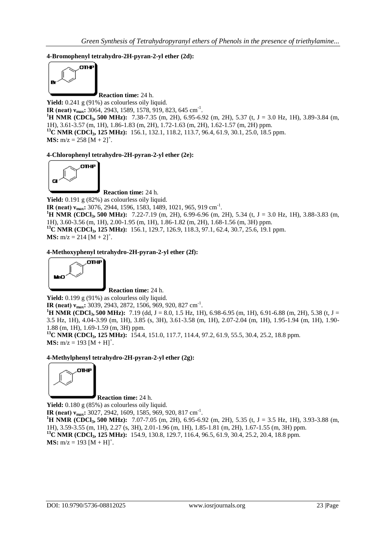**4-Bromophenyl tetrahydro-2H-pyran-2-yl ether (2d):** 



**Reaction time:** 24 h. Yield:  $0.241$  g (91%) as colourless oily liquid. **IR (neat)**  $v_{\text{max}}$ **: 3064, 2943, 1589, 1578, 919, 823, 645 cm<sup>-1</sup>. <sup>1</sup>H NMR (CDCl3, 500 MHz):** 7.38-7.35 (m, 2H), 6.95-6.92 (m, 2H), 5.37 (t, J = 3.0 Hz, 1H), 3.89-3.84 (m, 1H), 3.61-3.57 (m, 1H), 1.86-1.83 (m, 2H), 1.72-1.63 (m, 2H), 1.62-1.57 (m, 2H) ppm. **<sup>13</sup>C NMR (CDCl3, 125 MHz):** 156.1, 132.1, 118.2, 113.7, 96.4, 61.9, 30.1, 25.0, 18.5 ppm. **MS:**  $m/z = 258 [M + 2]^+$ .

#### **4-Chlorophenyl tetrahydro-2H-pyran-2-yl ether (2e):**



**Reaction time:** 24 h. Yield: 0.191 g (82%) as colourless oily liquid. **IR (neat)**  $v_{\text{max}}$ **:** 3076, 2944, 1596, 1583, 1489, 1021, 965, 919 cm<sup>-1</sup>. **<sup>1</sup>H NMR (CDCl3, 500 MHz):** 7.22-7.19 (m, 2H), 6.99-6.96 (m, 2H), 5.34 (t, J = 3.0 Hz, 1H), 3.88-3.83 (m, 1H), 3.60-3.56 (m, 1H), 2.00-1.95 (m, 1H), 1.86-1.82 (m, 2H), 1.68-1.56 (m, 3H) ppm. **<sup>13</sup>C NMR (CDCl3, 125 MHz):** 156.1, 129.7, 126.9, 118.3, 97.1, 62.4, 30.7, 25.6, 19.1 ppm. **MS:**  $m/z = 214 [M + 2]^+$ .

## **4-Methoxyphenyl tetrahydro-2H-pyran-2-yl ether (2f):**



**Reaction time:** 24 h.

Yield: 0.199 g (91%) as colourless oily liquid.

**IR (neat)**  $v_{\text{max}}$ **: 3039, 2943, 2872, 1506, 969, 920, 827 cm<sup>-1</sup>.** 

**<sup>1</sup>H NMR (CDCl3, 500 MHz):** 7.19 (dd, J = 8.0, 1.5 Hz, 1H), 6.98-6.95 (m, 1H), 6.91-6.88 (m, 2H), 5.38 (t, J = 3.5 Hz, 1H), 4.04-3.99 (m, 1H), 3.85 (s, 3H), 3.61-3.58 (m, 1H), 2.07-2.04 (m, 1H), 1.95-1.94 (m, 1H), 1.90- 1.88 (m, 1H), 1.69-1.59 (m, 3H) ppm.

**<sup>13</sup>C NMR (CDCl3, 125 MHz):** 154.4, 151.0, 117.7, 114.4, 97.2, 61.9, 55.5, 30.4, 25.2, 18.8 ppm. **MS:**  $m/z = 193 [M + H]^{+}$ .

## **4-Methylphenyl tetrahydro-2H-pyran-2-yl ether (2g):**



**Reaction time:** 24 h. Yield: 0.180 g (85%) as colourless oily liquid. **IR (neat) v<sub>max</sub>**: 3027, 2942, 1609, 1585, 969, 920, 817 cm<sup>-1</sup>. **<sup>1</sup>H NMR (CDCl3, 500 MHz):** 7.07-7.05 (m, 2H), 6.95-6.92 (m, 2H), 5.35 (t, J = 3.5 Hz, 1H), 3.93-3.88 (m, 1H), 3.59-3.55 (m, 1H), 2.27 (s, 3H), 2.01-1.96 (m, 1H), 1.85-1.81 (m, 2H), 1.67-1.55 (m, 3H) ppm. **<sup>13</sup>C NMR (CDCl3, 125 MHz):** 154.9, 130.8, 129.7, 116.4, 96.5, 61.9, 30.4, 25.2, 20.4, 18.8 ppm. **MS:**  $m/z = 193 [M + H]^{+}$ .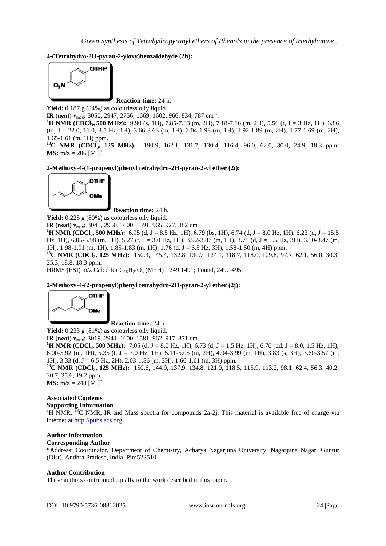**4-(Tetrahydro-2H-pyran-2-yloxy)benzaldehyde (2h):**



**Reaction time:** 24 h. Yield: 0.187 g (84%) as colourless oily liquid.

**IR** (neat)  $v_{\text{max}}$ : 3050, 2947, 2756, 1669, 1602, 966, 834, 787 cm<sup>-1</sup>.

**<sup>1</sup>H NMR (CDCl3, 500 MHz):** 9.90 (s, 1H), 7.85-7.83 (m, 2H), 7.18-7.16 (m, 2H), 5.56 (t, J = 3 Hz, 1H), 3.86 (td, J = 22.0, 11.0, 3.5 Hz, 1H), 3.66-3.63 (m, 1H), 2.04-1.98 (m, 1H), 1.92-1.89 (m, 2H), 1.77-1.69 (m, 2H), 1.65-1.61 (m, 1H) ppm.

**<sup>13</sup>C NMR (CDCl3, 125 MHz):** 190.9, 162.1, 131.7, 130.4, 116.4, 96.0, 62.0, 30.0, 24.9, 18.3 ppm. **MS:** m/z = 206 [M ]<sup>+</sup>.

## **2-Methoxy-4-(1-propenyl)phenyl tetrahydro-2H-pyran-2-yl ether (2i):**



**Reaction time:** 24 h.

Yield:  $0.225$  g (80%) as colourless oily liquid.

**IR (neat) v<sub>max</sub>**: 3045, 2950, 1600, 1591, 965, 927, 882 cm<sup>-1</sup>.

**<sup>1</sup>H NMR (CDCl3, 500 MHz):** 6.95 (d, J = 8.5 Hz, 1H), 6.79 (bs, 1H), 6.74 (d, J = 8.0 Hz, 1H), 6.23 (d, J = 15.5 Hz, 1H),  $6.05-5.98$  (m, 1H),  $5.27$  (t, J = 3.0 Hz, 1H), 3.92-3.87 (m, 1H), 3.75 (d, J = 1.5 Hz, 3H), 3.50-3.47 (m, 1H), 1.98-1.91 (m, 1H), 1.85-1.83 (m, 1H), 1.76 (d, J = 6.5 Hz, 3H), 1.58-1.50 (m, 4H) ppm.

**<sup>13</sup>C NMR (CDCl3, 125 MHz):** 150.3, 145.4, 132.8, 130.7, 124.1, 118.7, 118.0, 109.8, 97.7, 62.1, 56.0, 30.3, 25.3, 18.8, 18.3 ppm.

HRMS (ESI) m/z Calcd for  $C_{15}H_{21}O_3$  (M+H)<sup>+</sup>, 249.1491; Found, 249.1495.

#### **2-Methoxy-4-(2-propenyl)phenyl tetrahydro-2H-pyran-2-yl ether (2j):**



**Reaction time:** 24 h.

Yield: 0.233 g (81%) as colourless oily liquid.

**IR (neat) v<sub>max</sub>**: 3019, 2941, 1600, 1581, 962, 917, 871 cm<sup>-1</sup>.

**<sup>1</sup>H NMR (CDCl3, 500 MHz):** 7.05 (d, J = 8.0 Hz, 1H), 6.73 (d, J = 1.5 Hz, 1H), 6.70 (dd, J = 8.0, 1.5 Hz, 1H), 6.00-5.92 (m, 1H), 5.35 (t, J = 3.0 Hz, 1H), 5.11-5.05 (m, 2H), 4.04-3.99 (m, 1H), 3.83 (s, 3H), 3.60-3.57 (m, 1H), 3.33 (d, J = 6.5 Hz, 2H), 2.03-1.86 (m, 3H), 1.66-1.61 (m, 3H) ppm. <sup>1</sup>**<sup>3</sup>C NMR (CDCl3, 125 MHz):** 150.6, 144.9, 137.9, 134.8, 121.0, 118.5, 115.9, 113.2, 98.1, 62.4, 56.3, 40.2, 30.7, 25.6, 19.2 ppm.

**MS:** m/z = 248 [M ]<sup>+</sup>.

# **Associated Contents**

**Supporting Information**

<sup>1</sup>H NMR, <sup>13</sup>C NMR, IR and Mass spectra for compounds 2a-2j. This material is available free of charge via internet at [http://pubs.acs.org.](http://pubs.acs.org/)

# **Author Information**

#### **Corresponding Author**

\*Address: Coordinator, Department of Chemistry, Acharya Nagarjuna University, Nagarjuna Nagar, Guntur (Dist), Andhra Pradesh, India. Pin:522510

#### **Author Contribution**

These authors contributed equally to the work described in this paper.